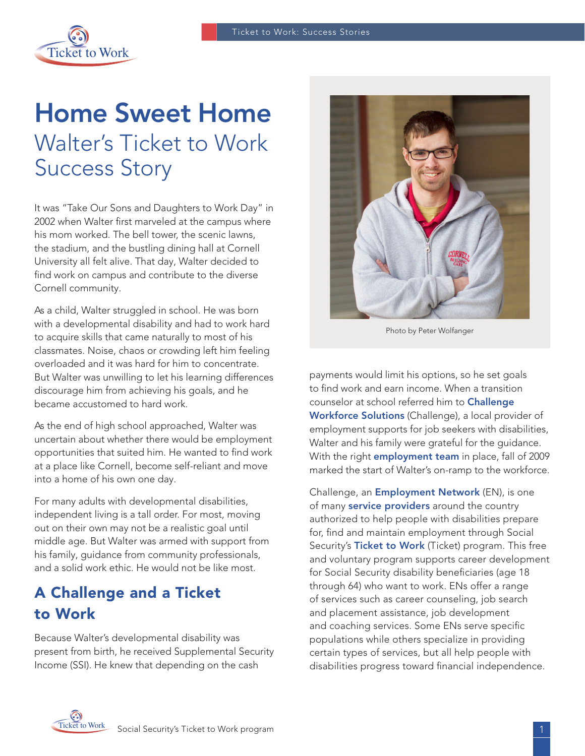

# Home Sweet Home Walter's Ticket to Work Success Story

It was "Take Our Sons and Daughters to Work Day" in 2002 when Walter first marveled at the campus where his mom worked. The bell tower, the scenic lawns, the stadium, and the bustling dining hall at Cornell University all felt alive. That day, Walter decided to find work on campus and contribute to the diverse Cornell community.

As a child, Walter struggled in school. He was born with a developmental disability and had to work hard to acquire skills that came naturally to most of his classmates. Noise, chaos or crowding left him feeling overloaded and it was hard for him to concentrate. But Walter was unwilling to let his learning differences discourage him from achieving his goals, and he became accustomed to hard work.

As the end of high school approached, Walter was uncertain about whether there would be employment opportunities that suited him. He wanted to find work at a place like Cornell, become self-reliant and move into a home of his own one day.

For many adults with developmental disabilities, independent living is a tall order. For most, moving out on their own may not be a realistic goal until middle age. But Walter was armed with support from his family, quidance from community professionals, and a solid work ethic. He would not be like most.

## A Challenge and a Ticket to Work

Because Walter's developmental disability was present from birth, he received Supplemental Security Income (SSI). He knew that depending on the cash



Photo by Peter Wolfanger

payments would limit his options, so he set goals to find work and earn income. When a transition counselor at school referred him to [Challenge](http://www.challengeworkforcesolutions.com/cws/)  [Workforce Solutions](http://www.challengeworkforcesolutions.com/cws/) (Challenge), a local provider of employment supports for job seekers with disabilities, Walter and his family were grateful for the guidance. With the right *[employment team](https://choosework.ssa.gov/about/meet-your-employment-team)* in place, fall of 2009 marked the start of Walter's on-ramp to the workforce.

Challenge, an **[Employment Network](https://choosework.ssa.gov/about/meet-your-employment-team/index.html#EN)** (EN), is one of many **[service providers](https://choosework.ssa.gov/about/meet-your-employment-team/index.html)** around the country authorized to help people with disabilities prepare for, find and maintain employment through Social Security's [Ticket to Work](https://choosework.ssa.gov/about/index.html) (Ticket) program. This free and voluntary program supports career development for Social Security disability beneficiaries (age 18 through 64) who want to work. ENs offer a range of services such as career counseling, job search and placement assistance, job development and coaching services. Some ENs serve specific populations while others specialize in providing certain types of services, but all help people with disabilities progress toward financial independence.

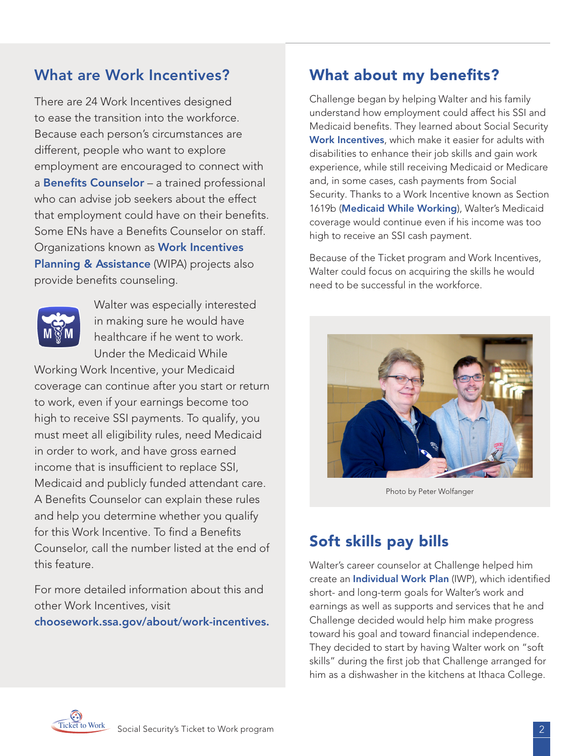## What are Work Incentives?

There are 24 Work Incentives designed to ease the transition into the workforce. Because each person's circumstances are different, people who want to explore employment are encouraged to connect with a **[Benefits Counselor](https://choosework.ssa.gov/findhelp/)** - a trained professional who can advise job seekers about the effect that employment could have on their benefits. Some ENs have a Benefits Counselor on staff. Organizations known as [Work Incentives](https://choosework.ssa.gov/about/meet-your-employment-team/index.html#WIPA)  [Planning & Assistance](https://choosework.ssa.gov/about/meet-your-employment-team/index.html#WIPA) (WIPA) projects also provide benefits counseling.



Walter was especially interested in making sure he would have healthcare if he went to work. Under the Medicaid While

Working Work Incentive, your Medicaid coverage can continue after you start or return to work, even if your earnings become too high to receive SSI payments. To qualify, you must meet all eligibility rules, need Medicaid in order to work, and have gross earned income that is insufficient to replace SSI, Medicaid and publicly funded attendant care. A Benefits Counselor can explain these rules and help you determine whether you qualify for this Work Incentive. To find a Benefits Counselor, call the number listed at the end of this feature.

For more detailed information about this and other Work Incentives, visit [choosework.ssa.gov/about/work-incentives.](https://choosework.ssa.gov/about/work-incentives)

## What about my benefits?

Challenge began by helping Walter and his family understand how employment could affect his SSI and Medicaid benefits. They learned about Social Security [Work Incentives](https://choosework.ssa.gov/about/work-incentives), which make it easier for adults with disabilities to enhance their job skills and gain work experience, while still receiving Medicaid or Medicare and, in some cases, cash payments from Social Security. Thanks to a Work Incentive known as Section 1619b ([Medicaid While Working](https://www.ssa.gov/redbook/eng/ssi-only-employment-supports.htm)), Walter's Medicaid coverage would continue even if his income was too high to receive an SSI cash payment.

Because of the Ticket program and Work Incentives, Walter could focus on acquiring the skills he would need to be successful in the workforce.



Photo by Peter Wolfanger

## Soft skills pay bills

Walter's career counselor at Challenge helped him create an **[Individual Work Plan](https://choosework.ssa.gov/library/faq-planning-your-employment-goals-with-the-ticket-to-work-program)** (IWP), which identified short- and long-term goals for Walter's work and earnings as well as supports and services that he and Challenge decided would help him make progress toward his goal and toward financial independence. They decided to start by having Walter work on "soft skills" during the first job that Challenge arranged for him as a dishwasher in the kitchens at Ithaca College.

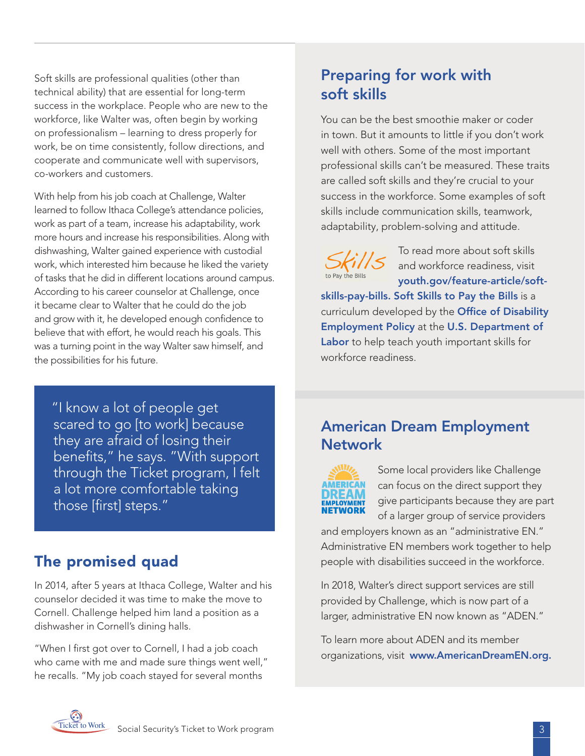Soft skills are professional qualities (other than technical ability) that are essential for long-term success in the workplace. People who are new to the workforce, like Walter was, often begin by working on professionalism – learning to dress properly for work, be on time consistently, follow directions, and cooperate and communicate well with supervisors, co-workers and customers.

With help from his job coach at Challenge, Walter learned to follow Ithaca College's attendance policies, work as part of a team, increase his adaptability, work more hours and increase his responsibilities. Along with dishwashing, Walter gained experience with custodial work, which interested him because he liked the variety of tasks that he did in different locations around campus. According to his career counselor at Challenge, once it became clear to Walter that he could do the job and grow with it, he developed enough confidence to believe that with effort, he would reach his goals. This was a turning point in the way Walter saw himself, and the possibilities for his future.

 "I know a lot of people get scared to go [to work] because they are afraid of losing their benefits," he says. "With support through the Ticket program, I felt a lot more comfortable taking those [first] steps."

#### The promised quad

In 2014, after 5 years at Ithaca College, Walter and his counselor decided it was time to make the move to Cornell. Challenge helped him land a position as a dishwasher in Cornell's dining halls.

"When I first got over to Cornell, I had a job coach who came with me and made sure things went well," he recalls. "My job coach stayed for several months

# Preparing for work with soft skills

You can be the best smoothie maker or coder in town. But it amounts to little if you don't work well with others. Some of the most important professional skills can't be measured. These traits are called soft skills and they're crucial to your success in the workforce. Some examples of soft skills include communication skills, teamwork, adaptability, problem-solving and attitude.

To read more about soft skills and workforce readiness, visit [youth.gov/feature-article/soft-](https://youth.gov/feature-article/soft-skills-pay-bills)

[skills-pay-bills.](https://youth.gov/feature-article/soft-skills-pay-bills) [Soft Skills to Pay the Bills](http://www.dol.gov/odep/topics/youth/softskills/) is a curriculum developed by the Office of Disability [Employment Policy](http://www.dol.gov/odep/) at the [U.S. Department of](http://www.dol.gov/)  [Labor](http://www.dol.gov/) to help teach youth important skills for workforce readiness.

#### American Dream Employment **Network**



Some local providers like Challenge can focus on the direct support they give participants because they are part of a larger group of service providers

and employers known as an "administrative EN." Administrative EN members work together to help people with disabilities succeed in the workforce.

In 2018, Walter's direct support services are still provided by Challenge, which is now part of a larger, administrative EN now known as "ADEN."

To learn more about ADEN and its member organizations, visit [www.AmericanDreamEN.org](http://www.AmericanDreamEN.org).